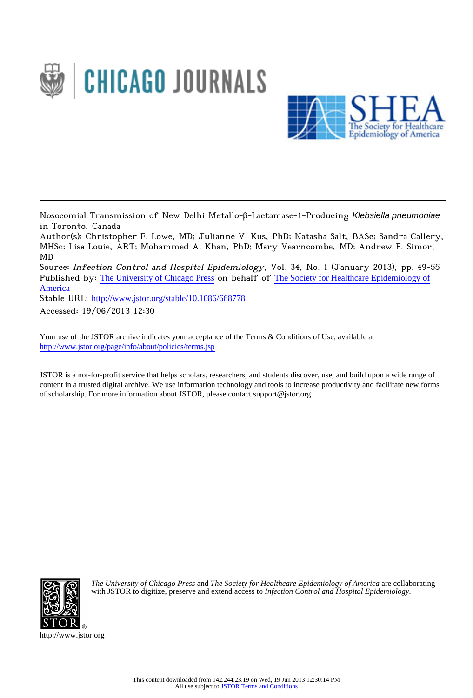



Nosocomial Transmission of New Delhi Metallo-β-Lactamase-1-Producing Klebsiella pneumoniae in Toronto, Canada

Author(s): Christopher F. Lowe, MD; Julianne V. Kus, PhD; Natasha Salt, BASc; Sandra Callery, MHSc; Lisa Louie, ART; Mohammed A. Khan, PhD; Mary Vearncombe, MD; Andrew E. Simor, MD

Source: Infection Control and Hospital Epidemiology, Vol. 34, No. 1 (January 2013), pp. 49-55 Published by: [The University of Chicago Press](http://www.jstor.org/action/showPublisher?publisherCode=ucpress) on behalf of [The Society for Healthcare Epidemiology of](http://www.jstor.org/action/showPublisher?publisherCode=shea) [America](http://www.jstor.org/action/showPublisher?publisherCode=shea)

Stable URL: http://www.jstor.org/stable/10.1086/668778

Accessed: 19/06/2013 12:30

Your use of the JSTOR archive indicates your acceptance of the Terms & Conditions of Use, available at <http://www.jstor.org/page/info/about/policies/terms.jsp>

JSTOR is a not-for-profit service that helps scholars, researchers, and students discover, use, and build upon a wide range of content in a trusted digital archive. We use information technology and tools to increase productivity and facilitate new forms of scholarship. For more information about JSTOR, please contact support@jstor.org.



*The University of Chicago Press* and *The Society for Healthcare Epidemiology of America* are collaborating with JSTOR to digitize, preserve and extend access to *Infection Control and Hospital Epidemiology.*

http://www.jstor.org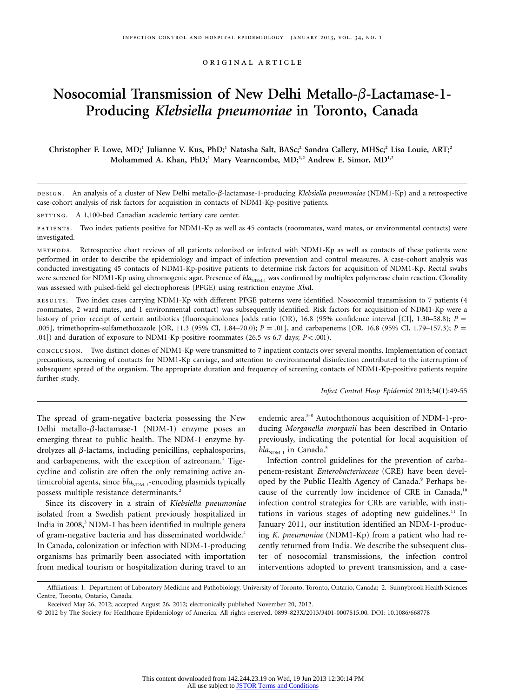original article

# **Nosocomial Transmission of New Delhi Metallo-β-Lactamase-1-Producing** *Klebsiella pneumoniae* **in Toronto, Canada**

**Christopher F. Lowe, MD;1 Julianne V. Kus, PhD;1 Natasha Salt, BASc;<sup>2</sup> Sandra Callery, MHSc;2 Lisa Louie, ART;2** Mohammed A. Khan, PhD;<sup>1</sup> Mary Vearncombe, MD;<sup>1,2</sup> Andrew E. Simor, MD<sup>1,2</sup>

DESIGN. An analysis of a cluster of New Delhi metallo- $\beta$ -lactamase-1-producing *Klebsiella pneumoniae* (NDM1-Kp) and a retrospective case-cohort analysis of risk factors for acquisition in contacts of NDM1-Kp-positive patients.

SETTING. A 1,100-bed Canadian academic tertiary care center.

patients. Two index patients positive for NDM1-Kp as well as 45 contacts (roommates, ward mates, or environmental contacts) were investigated.

methods. Retrospective chart reviews of all patients colonized or infected with NDM1-Kp as well as contacts of these patients were performed in order to describe the epidemiology and impact of infection prevention and control measures. A case-cohort analysis was conducted investigating 45 contacts of NDM1-Kp-positive patients to determine risk factors for acquisition of NDM1-Kp. Rectal swabs were screened for NDM1-Kp using chromogenic agar. Presence of  $bla_{\text{NDM-1}}$  was confirmed by multiplex polymerase chain reaction. Clonality was assessed with pulsed-field gel electrophoresis (PFGE) using restriction enzyme *Xba*I.

results. Two index cases carrying NDM1-Kp with different PFGE patterns were identified. Nosocomial transmission to 7 patients (4 roommates, 2 ward mates, and 1 environmental contact) was subsequently identified. Risk factors for acquisition of NDM1-Kp were a history of prior receipt of certain antibiotics (fluoroquinolones [odds ratio (OR), 16.8 (95% confidence interval [CI], 1.30–58.8); *P* = .005], trimethoprim-sulfamethoxazole [OR, 11.3 (95% CI, 1.84–70.0);  $P = .01$ ], and carbapenems [OR, 16.8 (95% CI, 1.79–157.3);  $P =$ .04]) and duration of exposure to NDM1-Kp-positive roommates (26.5 vs 6.7 days;  $P < .001$ ).

conclusion. Two distinct clones of NDM1-Kp were transmitted to 7 inpatient contacts over several months. Implementation of contact precautions, screening of contacts for NDM1-Kp carriage, and attention to environmental disinfection contributed to the interruption of subsequent spread of the organism. The appropriate duration and frequency of screening contacts of NDM1-Kp-positive patients require further study.

*Infect Control Hosp Epidemiol* 2013;34(1):49-55

The spread of gram-negative bacteria possessing the New Delhi metallo- $\beta$ -lactamase-1 (NDM-1) enzyme poses an emerging threat to public health. The NDM-1 enzyme hydrolyzes all  $\beta$ -lactams, including penicillins, cephalosporins, and carbapenems, with the exception of aztreonam.<sup>1</sup> Tigecycline and colistin are often the only remaining active antimicrobial agents, since *bla*<sub>NDM-1</sub>-encoding plasmids typically possess multiple resistance determinants.<sup>2</sup>

Since its discovery in a strain of *Klebsiella pneumoniae* isolated from a Swedish patient previously hospitalized in India in 2008,<sup>3</sup> NDM-1 has been identified in multiple genera of gram-negative bacteria and has disseminated worldwide.<sup>4</sup> In Canada, colonization or infection with NDM-1-producing organisms has primarily been associated with importation from medical tourism or hospitalization during travel to an

endemic area.5-8 Autochthonous acquisition of NDM-1-producing *Morganella morganii* has been described in Ontario previously, indicating the potential for local acquisition of  $bla_{\text{NDM-1}}$  in Canada.<sup>5</sup>

Infection control guidelines for the prevention of carbapenem-resistant *Enterobacteriaceae* (CRE) have been developed by the Public Health Agency of Canada.<sup>9</sup> Perhaps because of the currently low incidence of CRE in Canada,<sup>10</sup> infection control strategies for CRE are variable, with institutions in various stages of adopting new guidelines.<sup>11</sup> In January 2011, our institution identified an NDM-1-producing *K. pneumoniae* (NDM1-Kp) from a patient who had recently returned from India. We describe the subsequent cluster of nosocomial transmissions, the infection control interventions adopted to prevent transmission, and a case-

Affiliations: 1. Department of Laboratory Medicine and Pathobiology, University of Toronto, Toronto, Ontario, Canada; 2. Sunnybrook Health Sciences Centre, Toronto, Ontario, Canada.

Received May 26, 2012; accepted August 26, 2012; electronically published November 20, 2012.

<sup>-</sup> 2012 by The Society for Healthcare Epidemiology of America. All rights reserved. 0899-823X/2013/3401-0007\$15.00. DOI: 10.1086/668778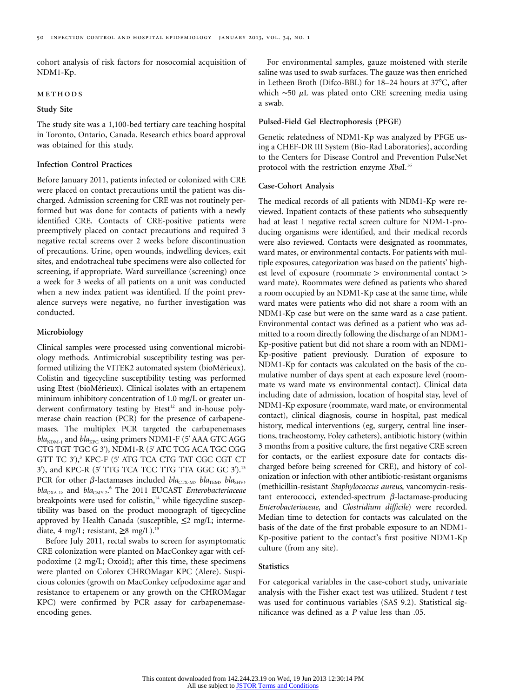cohort analysis of risk factors for nosocomial acquisition of NDM1-Kp.

## methods

## **Study Site**

The study site was a 1,100-bed tertiary care teaching hospital in Toronto, Ontario, Canada. Research ethics board approval was obtained for this study.

# **Infection Control Practices**

Before January 2011, patients infected or colonized with CRE were placed on contact precautions until the patient was discharged. Admission screening for CRE was not routinely performed but was done for contacts of patients with a newly identified CRE. Contacts of CRE-positive patients were preemptively placed on contact precautions and required 3 negative rectal screens over 2 weeks before discontinuation of precautions. Urine, open wounds, indwelling devices, exit sites, and endotracheal tube specimens were also collected for screening, if appropriate. Ward surveillance (screening) once a week for 3 weeks of all patients on a unit was conducted when a new index patient was identified. If the point prevalence surveys were negative, no further investigation was conducted.

#### **Microbiology**

Clinical samples were processed using conventional microbiology methods. Antimicrobial susceptibility testing was performed utilizing the VITEK2 automated system (bioMérieux). Colistin and tigecycline susceptibility testing was performed using Etest (bioMérieux). Clinical isolates with an ertapenem minimum inhibitory concentration of 1.0 mg/L or greater underwent confirmatory testing by Etest<sup>12</sup> and in-house polymerase chain reaction (PCR) for the presence of carbapenemases. The multiplex PCR targeted the carbapenemases bla<sub>NDM-1</sub> and bla<sub>KPC</sub> using primers NDM1-F (5' AAA GTC AGG CTG TGT TGC G 3'), NDM1-R (5' ATC TCG ACA TGC CGG GTT TC 3'),<sup>3</sup> KPC-F (5' ATG TCA CTG TAT CGC CGT CT 3'), and KPC-R (5' TTG TCA TCC TTG TTA GGC GC 3').<sup>13</sup> PCR for other  $\beta$ -lactamases included *bla*<sub>CTX-M</sub>, *bla*<sub>TEM</sub>, *bla*<sub>SHV</sub>, bla<sub>OXA-1</sub>, and *bla*<sub>CMY-2</sub>.<sup>6</sup> The 2011 EUCAST *Enterobacteriaceae* breakpoints were used for colistin,<sup>14</sup> while tigecycline susceptibility was based on the product monograph of tigecycline approved by Health Canada (susceptible,  $\leq$ 2 mg/L; intermediate, 4 mg/L; resistant,  $\geq 8$  mg/L).<sup>15</sup>

Before July 2011, rectal swabs to screen for asymptomatic CRE colonization were planted on MacConkey agar with cefpodoxime (2 mg/L; Oxoid); after this time, these specimens were planted on Colorex CHROMagar KPC (Alere). Suspicious colonies (growth on MacConkey cefpodoxime agar and resistance to ertapenem or any growth on the CHROMagar KPC) were confirmed by PCR assay for carbapenemaseencoding genes.

For environmental samples, gauze moistened with sterile saline was used to swab surfaces. The gauze was then enriched in Letheen Broth (Difco-BBL) for 18-24 hours at 37°C, after which  $~50$  µL was plated onto CRE screening media using a swab.

## **Pulsed-Field Gel Electrophoresis (PFGE)**

Genetic relatedness of NDM1-Kp was analyzed by PFGE using a CHEF-DR III System (Bio-Rad Laboratories), according to the Centers for Disease Control and Prevention PulseNet protocol with the restriction enzyme *Xba*I.<sup>16</sup>

#### **Case-Cohort Analysis**

The medical records of all patients with NDM1-Kp were reviewed. Inpatient contacts of these patients who subsequently had at least 1 negative rectal screen culture for NDM-1-producing organisms were identified, and their medical records were also reviewed. Contacts were designated as roommates, ward mates, or environmental contacts. For patients with multiple exposures, categorization was based on the patients' highest level of exposure (roommate > environmental contact > ward mate). Roommates were defined as patients who shared a room occupied by an NDM1-Kp case at the same time, while ward mates were patients who did not share a room with an NDM1-Kp case but were on the same ward as a case patient. Environmental contact was defined as a patient who was admitted to a room directly following the discharge of an NDM1- Kp-positive patient but did not share a room with an NDM1- Kp-positive patient previously. Duration of exposure to NDM1-Kp for contacts was calculated on the basis of the cumulative number of days spent at each exposure level (roommate vs ward mate vs environmental contact). Clinical data including date of admission, location of hospital stay, level of NDM1-Kp exposure (roommate, ward mate, or environmental contact), clinical diagnosis, course in hospital, past medical history, medical interventions (eg, surgery, central line insertions, tracheostomy, Foley catheters), antibiotic history (within 3 months from a positive culture, the first negative CRE screen for contacts, or the earliest exposure date for contacts discharged before being screened for CRE), and history of colonization or infection with other antibiotic-resistant organisms (methicillin-resistant *Staphylococcus aureus*, vancomycin-resistant enterococci, extended-spectrum  $\beta$ -lactamase-producing *Enterobacteriaceae*, and *Clostridium difficile*) were recorded. Median time to detection for contacts was calculated on the basis of the date of the first probable exposure to an NDM1- Kp-positive patient to the contact's first positive NDM1-Kp culture (from any site).

# **Statistics**

For categorical variables in the case-cohort study, univariate analysis with the Fisher exact test was utilized. Student *t* test was used for continuous variables (SAS 9.2). Statistical significance was defined as a *P* value less than .05.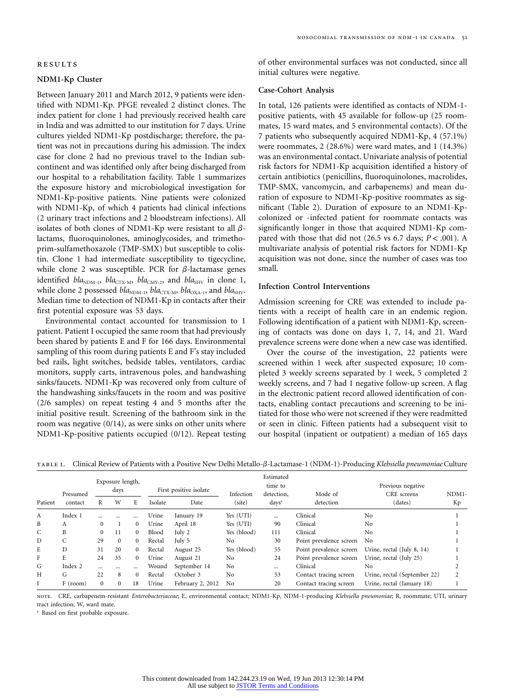# **NDM1-Kp Cluster**

Between January 2011 and March 2012, 9 patients were identified with NDM1-Kp. PFGE revealed 2 distinct clones. The index patient for clone 1 had previously received health care in India and was admitted to our institution for 7 days. Urine cultures yielded NDM1-Kp postdischarge; therefore, the patient was not in precautions during his admission. The index case for clone 2 had no previous travel to the Indian subcontinent and was identified only after being discharged from our hospital to a rehabilitation facility. Table 1 summarizes the exposure history and microbiological investigation for NDM1-Kp-positive patients. Nine patients were colonized with NDM1-Kp, of which 4 patients had clinical infections (2 urinary tract infections and 2 bloodstream infections). All isolates of both clones of NDM1-Kp were resistant to all  $\beta$ lactams, fluoroquinolones, aminoglycosides, and trimethoprim-sulfamethoxazole (TMP-SMX) but susceptible to colistin. Clone 1 had intermediate susceptibility to tigecycline, while clone 2 was susceptible. PCR for  $\beta$ -lactamase genes identified  $bla_{NDM-1}$ ,  $bla_{CTX-M}$ ,  $bla_{CMY-2}$ , and  $bla_{SHV}$  in clone 1, while clone 2 possessed *bla*<sub>NDM-1</sub>, *bla*<sub>CTX-M</sub>, *bla*<sub>OXA-1</sub>, and *bla*<sub>SHV</sub>. Median time to detection of NDM1-Kp in contacts after their first potential exposure was 53 days.

Environmental contact accounted for transmission to 1 patient. Patient I occupied the same room that had previously been shared by patients E and F for 166 days. Environmental sampling of this room during patients E and F's stay included bed rails, light switches, bedside tables, ventilators, cardiac monitors, supply carts, intravenous poles, and handwashing sinks/faucets. NDM1-Kp was recovered only from culture of the handwashing sinks/faucets in the room and was positive (2/6 samples) on repeat testing 4 and 5 months after the initial positive result. Screening of the bathroom sink in the room was negative (0/14), as were sinks on other units where NDM1-Kp-positive patients occupied (0/12). Repeat testing

of other environmental surfaces was not conducted, since all initial cultures were negative.

#### **Case-Cohort Analysis**

In total, 126 patients were identified as contacts of NDM-1 positive patients, with 45 available for follow-up (25 roommates, 15 ward mates, and 5 environmental contacts). Of the 7 patients who subsequently acquired NDM1-Kp, 4 (57.1%) were roommates, 2 (28.6%) were ward mates, and 1 (14.3%) was an environmental contact. Univariate analysis of potential risk factors for NDM1-Kp acquisition identified a history of certain antibiotics (penicillins, fluoroquinolones, macrolides, TMP-SMX, vancomycin, and carbapenems) and mean duration of exposure to NDM1-Kp-positive roommates as significant (Table 2). Duration of exposure to an NDM1-Kpcolonized or -infected patient for roommate contacts was significantly longer in those that acquired NDM1-Kp compared with those that did not (26.5 vs 6.7 days;  $P < .001$ ). A multivariate analysis of potential risk factors for NDM1-Kp acquisition was not done, since the number of cases was too small.

## **Infection Control Interventions**

Admission screening for CRE was extended to include patients with a receipt of health care in an endemic region. Following identification of a patient with NDM1-Kp, screening of contacts was done on days 1, 7, 14, and 21. Ward prevalence screens were done when a new case was identified.

Over the course of the investigation, 22 patients were screened within 1 week after suspected exposure; 10 completed 3 weekly screens separated by 1 week, 5 completed 2 weekly screens, and 7 had 1 negative follow-up screen. A flag in the electronic patient record allowed identification of contacts, enabling contact precautions and screening to be initiated for those who were not screened if they were readmitted or seen in clinic. Fifteen patients had a subsequent visit to our hospital (inpatient or outpatient) a median of 165 days

TABLE 1. Clinical Review of Patients with a Positive New Delhi Metallo- $\beta$ -Lactamase-1 (NDM-1)-Producing *Klebsiella pneumoniae* Culture

| Patient | Presumed<br>contact | Exposure length,<br>days |              |              | First positive isolate |                  | Infection   | Estimated<br>time to<br>detection. | Mode of                 | Previous negative<br>CRE screens | NDM1- |
|---------|---------------------|--------------------------|--------------|--------------|------------------------|------------------|-------------|------------------------------------|-------------------------|----------------------------------|-------|
|         |                     | R                        | W            | E            | Isolate                | Date             | (site)      | $days^a$                           | detection               | (dates)                          | Кp    |
| A       | Index 1             |                          |              |              | Urine                  | January 19       | Yes (UTI)   | $\cdots$                           | Clinical                | No                               |       |
| B       | А                   | $\mathbf{0}$             |              | $\mathbf{0}$ | Urine                  | April 18         | Yes (UTI)   | 90                                 | Clinical                | No                               |       |
| C       | B                   | $\mathbf{0}$             | 11           | $\Omega$     | Blood                  | July 2           | Yes (blood) | 111                                | Clinical                | No                               |       |
| D       | C                   | 29                       | $\Omega$     | $\Omega$     | Rectal                 | July 5           | No          | 30                                 | Point prevalence screen | N <sub>0</sub>                   |       |
| E       | D                   | 31                       | 20           | $\Omega$     | Rectal                 | August 25        | Yes (blood) | 55                                 | Point prevalence screen | Urine, rectal (July 8, 14)       |       |
| F       | E                   | 24                       | 35           | $\Omega$     | Urine                  | August 21        | No          | 24                                 | Point prevalence screen | Urine, rectal (July 25)          |       |
| G       | Index 2             | $\cdots$                 | $\cdots$     | $\cdots$     | Wound                  | September 14     | No          | $\cdots$                           | Clinical                | No                               |       |
| Н       | G                   | 22                       | 8            | $\Omega$     | Rectal                 | October 3        | No          | 53                                 | Contact tracing screen  | Urine, rectal (September 22)     |       |
|         | F (room)            | $\Omega$                 | $\mathbf{0}$ | 18           | Urine                  | February 2, 2012 | No          | 20                                 | Contact tracing screen  | Urine, rectal (January 18)       |       |

note. CRE, carbapenem-resistant *Enterobacteriaceae*; E, environmental contact; NDM1-Kp, NDM-1-producing *Klebsiella pneumoniae*; R, roommate; UTI, urinary tract infection; W, ward mate.

<sup>a</sup> Based on first probable exposure.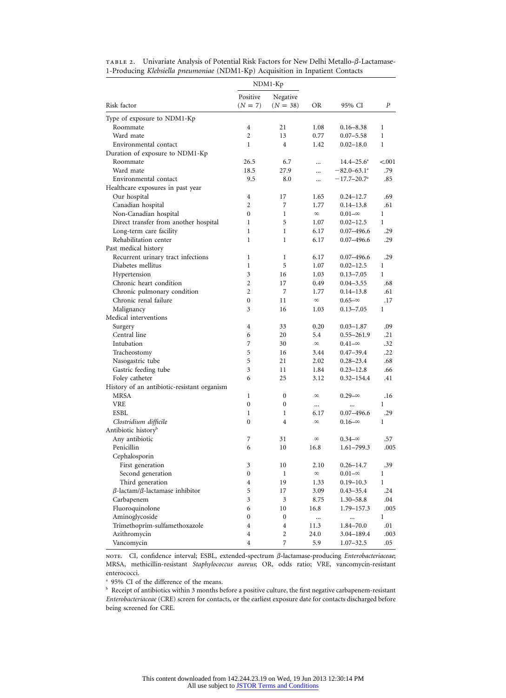|                                               |                       | NDM1-Kp                | OR                    | 95% CI                      | Ρ            |
|-----------------------------------------------|-----------------------|------------------------|-----------------------|-----------------------------|--------------|
| Risk factor                                   | Positive<br>$(N = 7)$ | Negative<br>$(N = 38)$ |                       |                             |              |
| Type of exposure to NDM1-Kp                   |                       |                        |                       |                             |              |
| Roommate                                      | 4                     | 21                     | 1.08                  | $0.16 - 8.38$               | 1            |
| Ward mate                                     | $\overline{c}$        | 13                     | 0.77                  | $0.07 - 5.58$               | $\mathbf{1}$ |
| Environmental contact                         | 1                     | 4                      | 1.42                  | $0.02 - 18.0$               | 1            |
| Duration of exposure to NDM1-Kp               |                       |                        |                       |                             |              |
| Roommate                                      | 26.5                  | 6.7                    |                       | $14.4 - 25.6^a$             | < .001       |
| Ward mate                                     | 18.5                  | 27.9                   |                       | $-82.0 - 63.1^{\circ}$      | .79          |
| Environmental contact                         | 9.5                   | 8.0                    | $\ddotsc$             | $-17.7 - 20.7$ <sup>a</sup> | .85          |
| Healthcare exposures in past year             |                       |                        |                       |                             |              |
| Our hospital                                  | 4                     | 17                     | 1.65                  | $0.24 - 12.7$               | .69          |
| Canadian hospital                             | 2                     | 7                      | 1.77                  | $0.14 - 13.8$               | .61          |
| Non-Canadian hospital                         | 0                     | 1                      | $\infty$              | $0.01 - \infty$             | 1            |
| Direct transfer from another hospital         | 1                     | 5                      | 1.07                  | $0.02 - 12.5$               | $\mathbf{1}$ |
| Long-term care facility                       | 1                     | $\mathbf{1}$           | 6.17                  | $0.07 - 496.6$              | .29          |
| Rehabilitation center                         | $\mathbf{1}$          | $\mathbf{1}$           | 6.17                  | $0.07 - 496.6$              | .29          |
| Past medical history                          |                       |                        |                       |                             |              |
| Recurrent urinary tract infections            | 1                     | 1                      | 6.17                  | $0.07 - 496.6$              | .29          |
| Diabetes mellitus                             | $\mathbf{1}$          | 5                      | 1.07                  | $0.02 - 12.5$               | $\mathbf{1}$ |
| Hypertension                                  | 3                     | 16                     | 1.03                  | $0.13 - 7.05$               | $\mathbf{1}$ |
| Chronic heart condition                       | 2                     | 17                     | 0.49                  | $0.04 - 3.55$               | .68          |
| Chronic pulmonary condition                   | 2                     | 7                      | 1.77                  | $0.14 - 13.8$               | .61          |
| Chronic renal failure                         | $\mathbf{0}$          | 11                     | ${}^{\infty}$         | $0.65 - \infty$             | .17          |
| Malignancy                                    | 3                     | 16                     | 1.03                  | $0.13 - 7.05$               | $\mathbf{1}$ |
| Medical interventions                         |                       |                        |                       |                             |              |
| Surgery                                       | 4                     | 33                     | 0.20                  | $0.03 - 1.87$               | .09          |
| Central line                                  | 6                     | 20                     | 5.4                   | $0.55 - 261.9$              | .21          |
| Intubation                                    | 7                     | 30                     | $\infty$              | $0.41 - \infty$             | .32          |
| Tracheostomy                                  | 5                     | 16                     | 3.44                  | $0.47 - 39.4$               | .22          |
| Nasogastric tube                              | 5                     | 21                     | 2.02                  | $0.28 - 23.4$               | .68          |
| Gastric feeding tube                          | 3                     | 11                     | 1.84                  | $0.23 - 12.8$               | .66          |
| Foley catheter                                | 6                     | 25                     | 3.12                  | $0.32 - 154.4$              | .41          |
| History of an antibiotic-resistant organism   |                       |                        |                       |                             |              |
| <b>MRSA</b>                                   | 1                     | 0                      | $\infty$              | $0.29 - \infty$             | .16          |
| <b>VRE</b>                                    | $\bf{0}$              | 0                      |                       |                             | 1            |
| <b>ESBL</b>                                   | 1                     | 1                      | <br>6.17              | <br>$0.07 - 496.6$          | .29          |
| Clostridium difficile                         | $\mathbf{0}$          | 4                      | $\infty$              | $0.16 - \infty$             | $\mathbf{1}$ |
| Antibiotic history <sup>b</sup>               |                       |                        |                       |                             |              |
| Any antibiotic                                | 7                     | 31                     | $\infty$              | $0.34 - \infty$             | .57          |
| Penicillin                                    | 6                     | 10                     | 16.8                  | $1.61 - 799.3$              | .005         |
|                                               |                       |                        |                       |                             |              |
| Cephalosporin                                 |                       |                        |                       | $0.26 - 14.7$               |              |
| First generation                              | 3<br>$\boldsymbol{0}$ | 10                     | 2.10<br>${}^{\infty}$ |                             | .39          |
| Second generation                             |                       | $\mathbf{1}$           |                       | $0.01 - \infty$             | $\mathbf{1}$ |
| Third generation                              | $\overline{4}$        | 19                     | 1.33                  | $0.19 - 10.3$               | $\mathbf{1}$ |
| $\beta$ -lactam/ $\beta$ -lactamase inhibitor | 5                     | 17                     | 3.09                  | $0.43 - 35.4$               | .24          |
| Carbapenem                                    | 3                     | $\mathfrak{Z}$         | 8.75                  | $1.30 - 58.8$               | .04          |
| Fluoroquinolone                               | 6                     | 10                     | 16.8                  | 1.79-157.3                  | .005         |
| Aminoglycoside                                | $\boldsymbol{0}$      | $\boldsymbol{0}$       |                       |                             | $\mathbf{1}$ |
| Trimethoprim-sulfamethoxazole                 | 4                     | 4                      | 11.3                  | 1.84-70.0                   | .01          |
| Azithromycin                                  | 4                     | 2                      | 24.0                  | 3.04–189.4                  | .003         |
| Vancomycin                                    | $\overline{4}$        | 7                      | 5.9                   | $1.07 - 32.5$               | .05          |

TABLE 2. Univariate Analysis of Potential Risk Factors for New Delhi Metallo- $\beta$ -Lactamase-1-Producing *Klebsiella pneumoniae* (NDM1-Kp) Acquisition in Inpatient Contacts

NOTE. CI, confidence interval; ESBL, extended-spectrum β-lactamase-producing *Enterobacteriaceae*; MRSA, methicillin-resistant *Staphylococcus aureus*; OR, odds ratio; VRE, vancomycin-resistant enterococci.

<sup>a</sup> 95% CI of the difference of the means.

 $^{\rm b}$  Receipt of antibiotics within 3 months before a positive culture, the first negative carbapenem-resistant *Enterobacteriaceae* (CRE) screen for contacts, or the earliest exposure date for contacts discharged before being screened for CRE.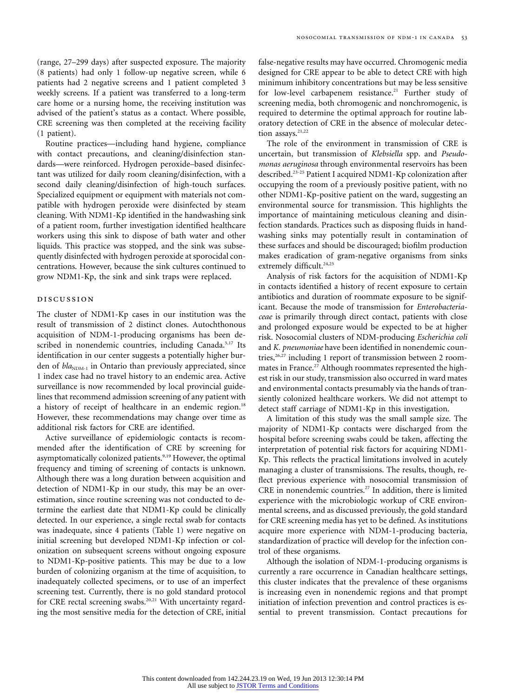(range, 27–299 days) after suspected exposure. The majority (8 patients) had only 1 follow-up negative screen, while 6 patients had 2 negative screens and 1 patient completed 3 weekly screens. If a patient was transferred to a long-term care home or a nursing home, the receiving institution was advised of the patient's status as a contact. Where possible, CRE screening was then completed at the receiving facility (1 patient).

Routine practices—including hand hygiene, compliance with contact precautions, and cleaning/disinfection standards—were reinforced. Hydrogen peroxide–based disinfectant was utilized for daily room cleaning/disinfection, with a second daily cleaning/disinfection of high-touch surfaces. Specialized equipment or equipment with materials not compatible with hydrogen peroxide were disinfected by steam cleaning. With NDM1-Kp identified in the handwashing sink of a patient room, further investigation identified healthcare workers using this sink to dispose of bath water and other liquids. This practice was stopped, and the sink was subsequently disinfected with hydrogen peroxide at sporocidal concentrations. However, because the sink cultures continued to grow NDM1-Kp, the sink and sink traps were replaced.

## discussion

The cluster of NDM1-Kp cases in our institution was the result of transmission of 2 distinct clones. Autochthonous acquisition of NDM-1-producing organisms has been described in nonendemic countries, including Canada.<sup>5,17</sup> Its identification in our center suggests a potentially higher burden of *bla*<sub>NDM-1</sub> in Ontario than previously appreciated, since 1 index case had no travel history to an endemic area. Active surveillance is now recommended by local provincial guidelines that recommend admission screening of any patient with a history of receipt of healthcare in an endemic region.<sup>18</sup> However, these recommendations may change over time as additional risk factors for CRE are identified.

Active surveillance of epidemiologic contacts is recommended after the identification of CRE by screening for asymptomatically colonized patients.<sup>9,19</sup> However, the optimal frequency and timing of screening of contacts is unknown. Although there was a long duration between acquisition and detection of NDM1-Kp in our study, this may be an overestimation, since routine screening was not conducted to determine the earliest date that NDM1-Kp could be clinically detected. In our experience, a single rectal swab for contacts was inadequate, since 4 patients (Table 1) were negative on initial screening but developed NDM1-Kp infection or colonization on subsequent screens without ongoing exposure to NDM1-Kp-positive patients. This may be due to a low burden of colonizing organism at the time of acquisition, to inadequately collected specimens, or to use of an imperfect screening test. Currently, there is no gold standard protocol for CRE rectal screening swabs.<sup>20,21</sup> With uncertainty regarding the most sensitive media for the detection of CRE, initial

false-negative results may have occurred. Chromogenic media designed for CRE appear to be able to detect CRE with high minimum inhibitory concentrations but may be less sensitive for low-level carbapenem resistance.<sup>21</sup> Further study of screening media, both chromogenic and nonchromogenic, is required to determine the optimal approach for routine laboratory detection of CRE in the absence of molecular detection assays.<sup>21,22</sup>

The role of the environment in transmission of CRE is uncertain, but transmission of *Klebsiella* spp. and *Pseudomonas aeruginosa* through environmental reservoirs has been described.23-25 Patient I acquired NDM1-Kp colonization after occupying the room of a previously positive patient, with no other NDM1-Kp-positive patient on the ward, suggesting an environmental source for transmission. This highlights the importance of maintaining meticulous cleaning and disinfection standards. Practices such as disposing fluids in handwashing sinks may potentially result in contamination of these surfaces and should be discouraged; biofilm production makes eradication of gram-negative organisms from sinks extremely difficult.<sup>24,25</sup>

Analysis of risk factors for the acquisition of NDM1-Kp in contacts identified a history of recent exposure to certain antibiotics and duration of roommate exposure to be significant. Because the mode of transmission for *Enterobacteriaceae* is primarily through direct contact, patients with close and prolonged exposure would be expected to be at higher risk. Nosocomial clusters of NDM-producing *Escherichia coli* and *K. pneumoniae* have been identified in nonendemic countries, $26,27$  including 1 report of transmission between 2 roommates in France.<sup>27</sup> Although roommates represented the highest risk in our study, transmission also occurred in ward mates and environmental contacts presumably via the hands of transiently colonized healthcare workers. We did not attempt to detect staff carriage of NDM1-Kp in this investigation.

A limitation of this study was the small sample size. The majority of NDM1-Kp contacts were discharged from the hospital before screening swabs could be taken, affecting the interpretation of potential risk factors for acquiring NDM1- Kp. This reflects the practical limitations involved in acutely managing a cluster of transmissions. The results, though, reflect previous experience with nosocomial transmission of CRE in nonendemic countries.<sup>27</sup> In addition, there is limited experience with the microbiologic workup of CRE environmental screens, and as discussed previously, the gold standard for CRE screening media has yet to be defined. As institutions acquire more experience with NDM-1-producing bacteria, standardization of practice will develop for the infection control of these organisms.

Although the isolation of NDM-1-producing organisms is currently a rare occurrence in Canadian healthcare settings, this cluster indicates that the prevalence of these organisms is increasing even in nonendemic regions and that prompt initiation of infection prevention and control practices is essential to prevent transmission. Contact precautions for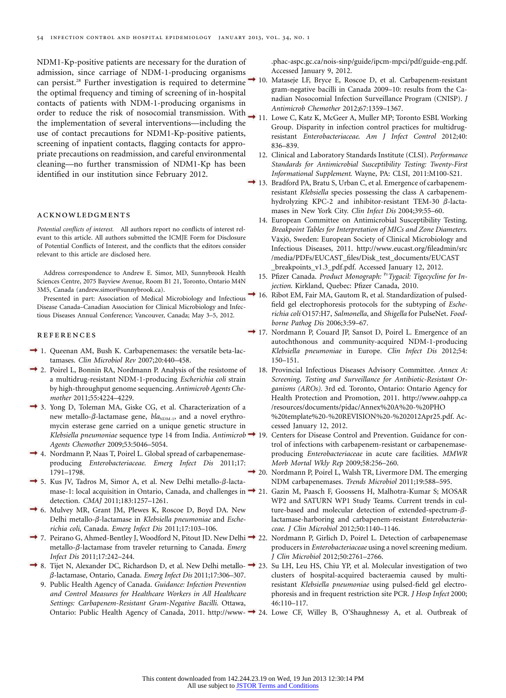NDM1-Kp-positive patients are necessary for the duration of admission, since carriage of NDM-1-producing organisms can persist.<sup>28</sup> Further investigation is required to determine the optimal frequency and timing of screening of in-hospital contacts of patients with NDM-1-producing organisms in order to reduce the risk of nosocomial transmission. With *Antimicrob Chemother* 2012;67:1359–1367. the implementation of several interventions—including the use of contact precautions for NDM1-Kp-positive patients, screening of inpatient contacts, flagging contacts for appropriate precautions on readmission, and careful environmental cleaning—no further transmission of NDM1-Kp has been identified in our institution since February 2012.

#### acknowledgments

*Potential conflicts of interest.* All authors report no conflicts of interest relevant to this article. All authors submitted the ICMJE Form for Disclosure of Potential Conflicts of Interest, and the conflicts that the editors consider relevant to this article are disclosed here.

Address correspondence to Andrew E. Simor, MD, Sunnybrook Health Sciences Centre, 2075 Bayview Avenue, Room B1 21, Toronto, Ontario M4N 3M5, Canada [\(andrew.simor@sunnybrook.ca\)](mailto:andrew.simor@sunnybrook.ca).

Presented in part: Association of Medical Microbiology and Infectious Disease Canada–Canadian Association for Clinical Microbiology and Infectious Diseases Annual Conference; Vancouver, Canada; May 3–5, 2012.

#### references

- → 1. Queenan AM, Bush K. Carbapenemases: the versatile beta-lactamases. *Clin Microbiol Rev* 2007;20:440–458.
- 2. Poirel L, Bonnin RA, Nordmann P. Analysis of the resistome of a multidrug-resistant NDM-1-producing *Escherichia coli* strain by high-throughput genome sequencing. *Antimicrob Agents Chemother* 2011;55:4224–4229.
- 3. Yong D, Toleman MA, Giske CG, et al. Characterization of a new metallo- $\beta$ -lactamase gene,  $bla_{NDM-1}$ , and a novel erythromycin esterase gene carried on a unique genetic structure in *Klebsiella pneumoniae* sequence type 14 from India. *Antimicrob* 19. Centers for Disease Control and Prevention. Guidance for con-*Agents Chemother* 2009;53:5046–5054.
- 4. Nordmann P, Naas T, Poirel L. Global spread of carbapenemaseproducing *Enterobacteriaceae*. *Emerg Infect Dis* 2011;17: 1791–1798.
- $\rightarrow$  5. Kus JV, Tadros M, Simor A, et al. New Delhi metallo- $\beta$ -lactamase-1: local acquisition in Ontario, Canada, and challenges in  $\rightarrow$  21. detection. *CMAJ* 2011;183:1257–1261.
- 6. Mulvey MR, Grant JM, Plewes K, Roscoe D, Boyd DA. New Delhi metallo-β-lactamase in *Klebsiella pneumoniae* and *Escherichia coli*, Canada. *Emerg Infect Dis* 2011;17:103–106.
- $\rightarrow$  7. Peirano G, Ahmed-Bentley J, Woodford N, Pitout JD. New Delhi $\rightarrow$  22. metallo-β-lactamase from traveler returning to Canada. *Emerg Infect Dis* 2011;17:242–244.
- 8. Tijet N, Alexander DC, Richardson D, et al. New Delhi metallo-23. Su LH, Leu HS, Chiu YP, et al. Molecular investigation of two b-lactamase, Ontario, Canada. *Emerg Infect Dis* 2011;17:306–307.
	- 9. Public Health Agency of Canada. *Guidance: Infection Prevention and Control Measures for Healthcare Workers in All Healthcare Settings: Carbapenem-Resistant Gram-Negative Bacilli*. Ottawa,

[.phac-aspc.gc.ca/nois-sinp/guide/ipcm-mpci/pdf/guide-eng.pdf.](http://www.phac-aspc.gc.ca/nois-sinp/guide/ipcm-mpci/pdf/guide-eng.pdf) Accessed January 9, 2012.

- 10. Mataseje LF, Bryce E, Roscoe D, et al. Carbapenem-resistant gram-negative bacilli in Canada 2009–10: results from the Canadian Nosocomial Infection Surveillance Program (CNISP). *J*
	- 11. Lowe C, Katz K, McGeer A, Muller MP; Toronto ESBL Working Group. Disparity in infection control practices for multidrugresistant *Enterobacteriaceae*. *Am J Infect Control* 2012;40: 836–839.
	- 12. Clinical and Laboratory Standards Institute (CLSI). *Performance Standards for Antimicrobial Susceptibility Testing: Twenty-First Informational Supplement*. Wayne, PA: CLSI, 2011:M100-S21.
- 13. Bradford PA, Bratu S, Urban C, et al. Emergence of carbapenemresistant *Klebsiella* species possessing the class A carbapenemhydrolyzing KPC-2 and inhibitor-resistant TEM-30  $\beta$ -lactamases in New York City. *Clin Infect Dis* 2004;39:55–60.
	- 14. European Committee on Antimicrobial Susceptibility Testing. *Breakpoint Tables for Interpretation of MICs and Zone Diameters*. Växjö, Sweden: European Society of Clinical Microbiology and Infectious Diseases, 2011. [http://www.eucast.org/fileadmin/src](http://www.eucast.org/fileadmin/src/media/PDFs/EUCAST_files/Disk_test_documents/EUCAST_breakpoints_v1.3_pdf.pdf) [/media/PDFs/EUCAST\\_files/Disk\\_test\\_documents/EUCAST](http://www.eucast.org/fileadmin/src/media/PDFs/EUCAST_files/Disk_test_documents/EUCAST_breakpoints_v1.3_pdf.pdf) [\\_breakpoints\\_v1.3\\_pdf.pdf.](http://www.eucast.org/fileadmin/src/media/PDFs/EUCAST_files/Disk_test_documents/EUCAST_breakpoints_v1.3_pdf.pdf) Accessed January 12, 2012.
	- 15. Pfizer Canada. *Product Monograph:* Pr*Tygacil: Tigecycline for Injection*. Kirkland, Quebec: Pfizer Canada, 2010.
- <sup>1</sup> 16. Ribot EM, Fair MA, Gautom R, et al. Standardization of pulsedfield gel electrophoresis protocols for the subtyping of *Escherichia coli* O157:H7, *Salmonella*, and *Shigella* for PulseNet. *Foodborne Pathog Dis* 2006;3:59–67.
- 17. Nordmann P, Couard JP, Sansot D, Poirel L. Emergence of an autochthonous and community-acquired NDM-1-producing *Klebsiella pneumoniae* in Europe. *Clin Infect Dis* 2012;54: 150–151.
	- 18. Provincial Infectious Diseases Advisory Committee. *Annex A: Screening, Testing and Surveillance for Antibiotic-Resistant Organisms (AROs)*. 3rd ed. Toronto, Ontario: Ontario Agency for Health Protection and Promotion, 2011. [http://www.oahpp.ca](http://www.oahpp.ca/resources/documents/pidac/Annex%20A%20-%20PHO%20template%20-%20REVISION%20-%202012Apr25.pdf) [/resources/documents/pidac/Annex%20A%20-%20PHO](http://www.oahpp.ca/resources/documents/pidac/Annex%20A%20-%20PHO%20template%20-%20REVISION%20-%202012Apr25.pdf) [%20template%20-%20REVISION%20-%202012Apr25.pdf.](http://www.oahpp.ca/resources/documents/pidac/Annex%20A%20-%20PHO%20template%20-%20REVISION%20-%202012Apr25.pdf) Accessed January 12, 2012.
	- trol of infections with carbapenem-resistant or carbapenemaseproducing *Enterobacteriaceae* in acute care facilities. *MMWR Morb Mortal Wkly Rep* 2009;58:256–260.
- <sup>2</sup> 20. Nordmann P, Poirel L, Walsh TR, Livermore DM. The emerging NDM carbapenemases. *Trends Microbiol* 2011;19:588–595.
	- 21. Gazin M, Paasch F, Goossens H, Malhotra-Kumar S; MOSAR WP2 and SATURN WP1 Study Teams. Current trends in culture-based and molecular detection of extended-spectrum-blactamase-harboring and carbapenem-resistant *Enterobacteriaceae*. *J Clin Microbiol* 2012;50:1140–1146.
	- Nordmann P, Girlich D, Poirel L. Detection of carbapenemase producers in *Enterobacteriaceae* using a novel screening medium. *J Clin Microbiol* 2012;50:2761–2766.
	- clusters of hospital-acquired bacteraemia caused by multiresistant *Klebsiella pneumoniae* using pulsed-field gel electrophoresis and in frequent restriction site PCR. *J Hosp Infect* 2000; 46:110–117.
- Ontario: Public Health Agency of Canada, 2011. [http://www-](http://www.phac-aspc.gc.ca/nois-sinp/guide/ipcm-mpci/pdf/guide-eng.pdf) 24. Lowe CF, Willey B, O'Shaughnessy A, et al. Outbreak of